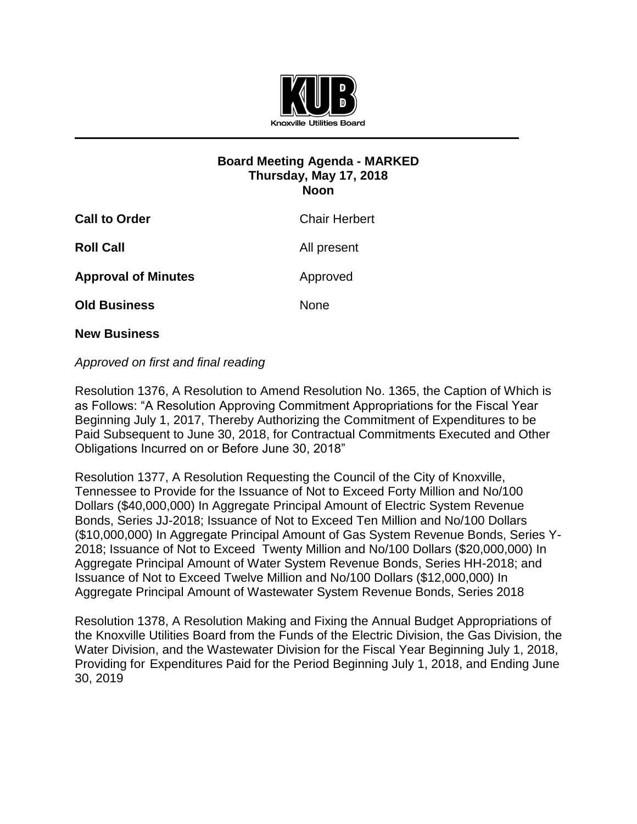

## **Board Meeting Agenda - MARKED Thursday, May 17, 2018 Noon**

| <b>Call to Order</b>       | <b>Chair Herbert</b> |
|----------------------------|----------------------|
| <b>Roll Call</b>           | All present          |
| <b>Approval of Minutes</b> | Approved             |
| <b>Old Business</b>        | None                 |
|                            |                      |

**New Business**

## *Approved on first and final reading*

Resolution 1376, A Resolution to Amend Resolution No. 1365, the Caption of Which is as Follows: "A Resolution Approving Commitment Appropriations for the Fiscal Year Beginning July 1, 2017, Thereby Authorizing the Commitment of Expenditures to be Paid Subsequent to June 30, 2018, for Contractual Commitments Executed and Other Obligations Incurred on or Before June 30, 2018"

Resolution 1377, A Resolution Requesting the Council of the City of Knoxville, Tennessee to Provide for the Issuance of Not to Exceed Forty Million and No/100 Dollars (\$40,000,000) In Aggregate Principal Amount of Electric System Revenue Bonds, Series JJ-2018; Issuance of Not to Exceed Ten Million and No/100 Dollars (\$10,000,000) In Aggregate Principal Amount of Gas System Revenue Bonds, Series Y-2018; Issuance of Not to Exceed Twenty Million and No/100 Dollars (\$20,000,000) In Aggregate Principal Amount of Water System Revenue Bonds, Series HH-2018; and Issuance of Not to Exceed Twelve Million and No/100 Dollars (\$12,000,000) In Aggregate Principal Amount of Wastewater System Revenue Bonds, Series 2018

Resolution 1378, A Resolution Making and Fixing the Annual Budget Appropriations of the Knoxville Utilities Board from the Funds of the Electric Division, the Gas Division, the Water Division, and the Wastewater Division for the Fiscal Year Beginning July 1, 2018, Providing for Expenditures Paid for the Period Beginning July 1, 2018, and Ending June 30, 2019